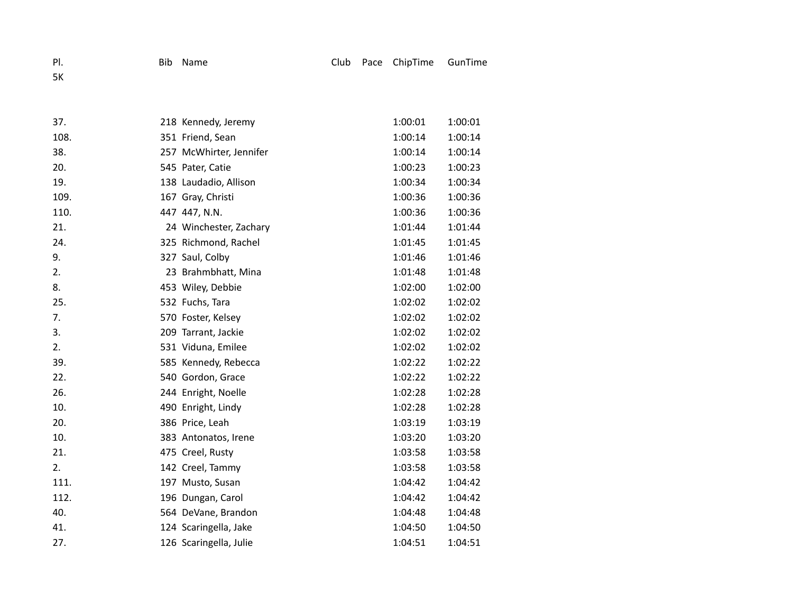5K

| 37.  | 218 Kennedy, Jeremy     | 1:00:01 | 1:00:01 |
|------|-------------------------|---------|---------|
| 108. | 351 Friend, Sean        | 1:00:14 | 1:00:14 |
| 38.  | 257 McWhirter, Jennifer | 1:00:14 | 1:00:14 |
| 20.  | 545 Pater, Catie        | 1:00:23 | 1:00:23 |
| 19.  | 138 Laudadio, Allison   | 1:00:34 | 1:00:34 |
| 109. | 167 Gray, Christi       | 1:00:36 | 1:00:36 |
| 110. | 447 447, N.N.           | 1:00:36 | 1:00:36 |
| 21.  | 24 Winchester, Zachary  | 1:01:44 | 1:01:44 |
| 24.  | 325 Richmond, Rachel    | 1:01:45 | 1:01:45 |
| 9.   | 327 Saul, Colby         | 1:01:46 | 1:01:46 |
| 2.   | 23 Brahmbhatt, Mina     | 1:01:48 | 1:01:48 |
| 8.   | 453 Wiley, Debbie       | 1:02:00 | 1:02:00 |
| 25.  | 532 Fuchs, Tara         | 1:02:02 | 1:02:02 |
| 7.   | 570 Foster, Kelsey      | 1:02:02 | 1:02:02 |
| 3.   | 209 Tarrant, Jackie     | 1:02:02 | 1:02:02 |
| 2.   | 531 Viduna, Emilee      | 1:02:02 | 1:02:02 |
| 39.  | 585 Kennedy, Rebecca    | 1:02:22 | 1:02:22 |
| 22.  | 540 Gordon, Grace       | 1:02:22 | 1:02:22 |
| 26.  | 244 Enright, Noelle     | 1:02:28 | 1:02:28 |
| 10.  | 490 Enright, Lindy      | 1:02:28 | 1:02:28 |
| 20.  | 386 Price, Leah         | 1:03:19 | 1:03:19 |
| 10.  | 383 Antonatos, Irene    | 1:03:20 | 1:03:20 |
| 21.  | 475 Creel, Rusty        | 1:03:58 | 1:03:58 |
| 2.   | 142 Creel, Tammy        | 1:03:58 | 1:03:58 |
| 111. | 197 Musto, Susan        | 1:04:42 | 1:04:42 |
| 112. | 196 Dungan, Carol       | 1:04:42 | 1:04:42 |
| 40.  | 564 DeVane, Brandon     | 1:04:48 | 1:04:48 |
| 41.  | 124 Scaringella, Jake   | 1:04:50 | 1:04:50 |
| 27.  | 126 Scaringella, Julie  | 1:04:51 | 1:04:51 |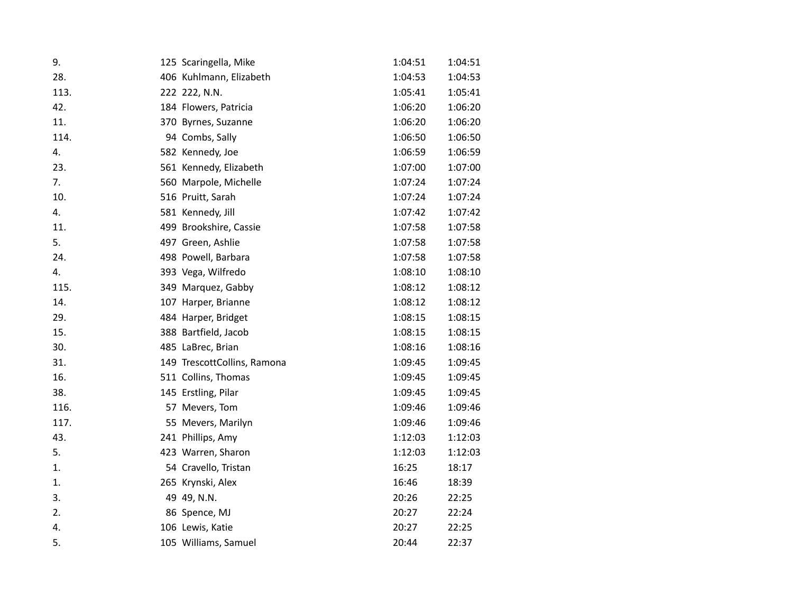| 9.   | 125 Scaringella, Mike       | 1:04:51 | 1:04:51 |
|------|-----------------------------|---------|---------|
| 28.  | 406 Kuhlmann, Elizabeth     | 1:04:53 | 1:04:53 |
| 113. | 222 222, N.N.               | 1:05:41 | 1:05:41 |
| 42.  | 184 Flowers, Patricia       | 1:06:20 | 1:06:20 |
| 11.  | 370 Byrnes, Suzanne         | 1:06:20 | 1:06:20 |
| 114. | 94 Combs, Sally             | 1:06:50 | 1:06:50 |
| 4.   | 582 Kennedy, Joe            | 1:06:59 | 1:06:59 |
| 23.  | 561 Kennedy, Elizabeth      | 1:07:00 | 1:07:00 |
| 7.   | 560 Marpole, Michelle       | 1:07:24 | 1:07:24 |
| 10.  | 516 Pruitt, Sarah           | 1:07:24 | 1:07:24 |
| 4.   | 581 Kennedy, Jill           | 1:07:42 | 1:07:42 |
| 11.  | 499 Brookshire, Cassie      | 1:07:58 | 1:07:58 |
| 5.   | 497 Green, Ashlie           | 1:07:58 | 1:07:58 |
| 24.  | 498 Powell, Barbara         | 1:07:58 | 1:07:58 |
| 4.   | 393 Vega, Wilfredo          | 1:08:10 | 1:08:10 |
| 115. | 349 Marquez, Gabby          | 1:08:12 | 1:08:12 |
| 14.  | 107 Harper, Brianne         | 1:08:12 | 1:08:12 |
| 29.  | 484 Harper, Bridget         | 1:08:15 | 1:08:15 |
| 15.  | 388 Bartfield, Jacob        | 1:08:15 | 1:08:15 |
| 30.  | 485 LaBrec, Brian           | 1:08:16 | 1:08:16 |
| 31.  | 149 TrescottCollins, Ramona | 1:09:45 | 1:09:45 |
| 16.  | 511 Collins, Thomas         | 1:09:45 | 1:09:45 |
| 38.  | 145 Erstling, Pilar         | 1:09:45 | 1:09:45 |
| 116. | 57 Mevers, Tom              | 1:09:46 | 1:09:46 |
| 117. | 55 Mevers, Marilyn          | 1:09:46 | 1:09:46 |
| 43.  | 241 Phillips, Amy           | 1:12:03 | 1:12:03 |
| 5.   | 423 Warren, Sharon          | 1:12:03 | 1:12:03 |
| 1.   | 54 Cravello, Tristan        | 16:25   | 18:17   |
| 1.   | 265 Krynski, Alex           | 16:46   | 18:39   |
| 3.   | 49 49, N.N.                 | 20:26   | 22:25   |
| 2.   | 86 Spence, MJ               | 20:27   | 22:24   |
| 4.   | 106 Lewis, Katie            | 20:27   | 22:25   |
| 5.   | 105 Williams, Samuel        | 20:44   | 22:37   |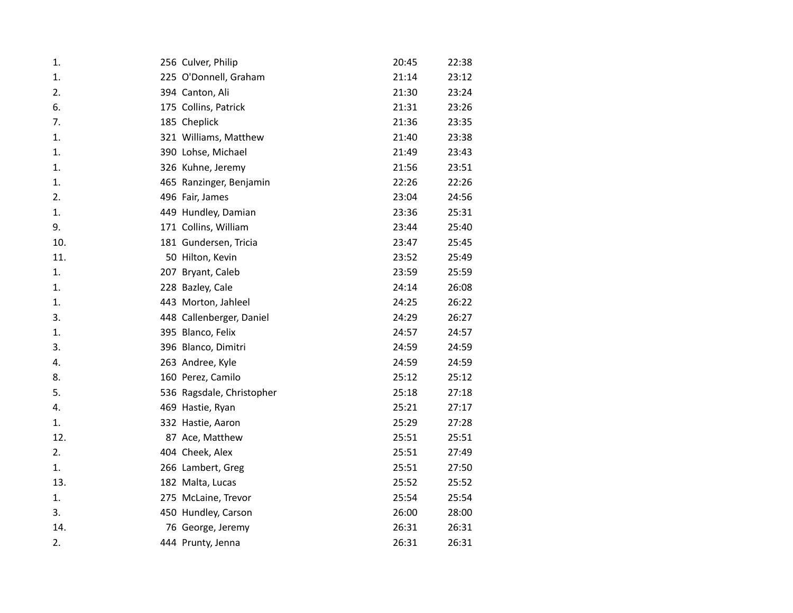| 1.  | 256 Culver, Philip        | 20:45 | 22:38 |
|-----|---------------------------|-------|-------|
| 1.  | 225 O'Donnell, Graham     | 21:14 | 23:12 |
| 2.  | 394 Canton, Ali           | 21:30 | 23:24 |
| 6.  | 175 Collins, Patrick      | 21:31 | 23:26 |
| 7.  | 185 Cheplick              | 21:36 | 23:35 |
| 1.  | 321 Williams, Matthew     | 21:40 | 23:38 |
| 1.  | 390 Lohse, Michael        | 21:49 | 23:43 |
| 1.  | 326 Kuhne, Jeremy         | 21:56 | 23:51 |
| 1.  | 465 Ranzinger, Benjamin   | 22:26 | 22:26 |
| 2.  | 496 Fair, James           | 23:04 | 24:56 |
| 1.  | 449 Hundley, Damian       | 23:36 | 25:31 |
| 9.  | 171 Collins, William      | 23:44 | 25:40 |
| 10. | 181 Gundersen, Tricia     | 23:47 | 25:45 |
| 11. | 50 Hilton, Kevin          | 23:52 | 25:49 |
| 1.  | 207 Bryant, Caleb         | 23:59 | 25:59 |
| 1.  | 228 Bazley, Cale          | 24:14 | 26:08 |
| 1.  | 443 Morton, Jahleel       | 24:25 | 26:22 |
| 3.  | 448 Callenberger, Daniel  | 24:29 | 26:27 |
| 1.  | 395 Blanco, Felix         | 24:57 | 24:57 |
| 3.  | 396 Blanco, Dimitri       | 24:59 | 24:59 |
| 4.  | 263 Andree, Kyle          | 24:59 | 24:59 |
| 8.  | 160 Perez, Camilo         | 25:12 | 25:12 |
| 5.  | 536 Ragsdale, Christopher | 25:18 | 27:18 |
| 4.  | 469 Hastie, Ryan          | 25:21 | 27:17 |
| 1.  | 332 Hastie, Aaron         | 25:29 | 27:28 |
| 12. | 87 Ace, Matthew           | 25:51 | 25:51 |
| 2.  | 404 Cheek, Alex           | 25:51 | 27:49 |
| 1.  | 266 Lambert, Greg         | 25:51 | 27:50 |
| 13. | 182 Malta, Lucas          | 25:52 | 25:52 |
| 1.  | 275 McLaine, Trevor       | 25:54 | 25:54 |
| 3.  | 450 Hundley, Carson       | 26:00 | 28:00 |
| 14. | 76 George, Jeremy         | 26:31 | 26:31 |
| 2.  | 444 Prunty, Jenna         | 26:31 | 26:31 |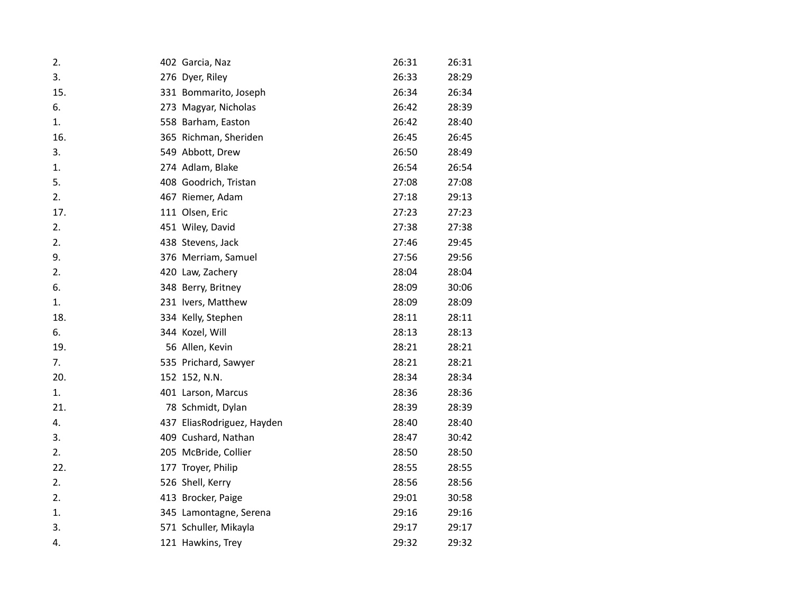| 2.  | 402 Garcia, Naz            | 26:31 | 26:31 |
|-----|----------------------------|-------|-------|
| 3.  | 276 Dyer, Riley            | 26:33 | 28:29 |
| 15. | 331 Bommarito, Joseph      | 26:34 | 26:34 |
| 6.  | 273 Magyar, Nicholas       | 26:42 | 28:39 |
| 1.  | 558 Barham, Easton         | 26:42 | 28:40 |
| 16. | 365 Richman, Sheriden      | 26:45 | 26:45 |
| 3.  | 549 Abbott, Drew           | 26:50 | 28:49 |
| 1.  | 274 Adlam, Blake           | 26:54 | 26:54 |
| 5.  | 408 Goodrich, Tristan      | 27:08 | 27:08 |
| 2.  | 467 Riemer, Adam           | 27:18 | 29:13 |
| 17. | 111 Olsen, Eric            | 27:23 | 27:23 |
| 2.  | 451 Wiley, David           | 27:38 | 27:38 |
| 2.  | 438 Stevens, Jack          | 27:46 | 29:45 |
| 9.  | 376 Merriam, Samuel        | 27:56 | 29:56 |
| 2.  | 420 Law, Zachery           | 28:04 | 28:04 |
| 6.  | 348 Berry, Britney         | 28:09 | 30:06 |
| 1.  | 231 Ivers, Matthew         | 28:09 | 28:09 |
| 18. | 334 Kelly, Stephen         | 28:11 | 28:11 |
| 6.  | 344 Kozel, Will            | 28:13 | 28:13 |
| 19. | 56 Allen, Kevin            | 28:21 | 28:21 |
| 7.  | 535 Prichard, Sawyer       | 28:21 | 28:21 |
| 20. | 152 152, N.N.              | 28:34 | 28:34 |
| 1.  | 401 Larson, Marcus         | 28:36 | 28:36 |
| 21. | 78 Schmidt, Dylan          | 28:39 | 28:39 |
| 4.  | 437 EliasRodriguez, Hayden | 28:40 | 28:40 |
| 3.  | 409 Cushard, Nathan        | 28:47 | 30:42 |
| 2.  | 205 McBride, Collier       | 28:50 | 28:50 |
| 22. | 177 Troyer, Philip         | 28:55 | 28:55 |
| 2.  | 526 Shell, Kerry           | 28:56 | 28:56 |
| 2.  | 413 Brocker, Paige         | 29:01 | 30:58 |
| 1.  | 345 Lamontagne, Serena     | 29:16 | 29:16 |
| 3.  | 571 Schuller, Mikayla      | 29:17 | 29:17 |
| 4.  | 121 Hawkins, Trey          | 29:32 | 29:32 |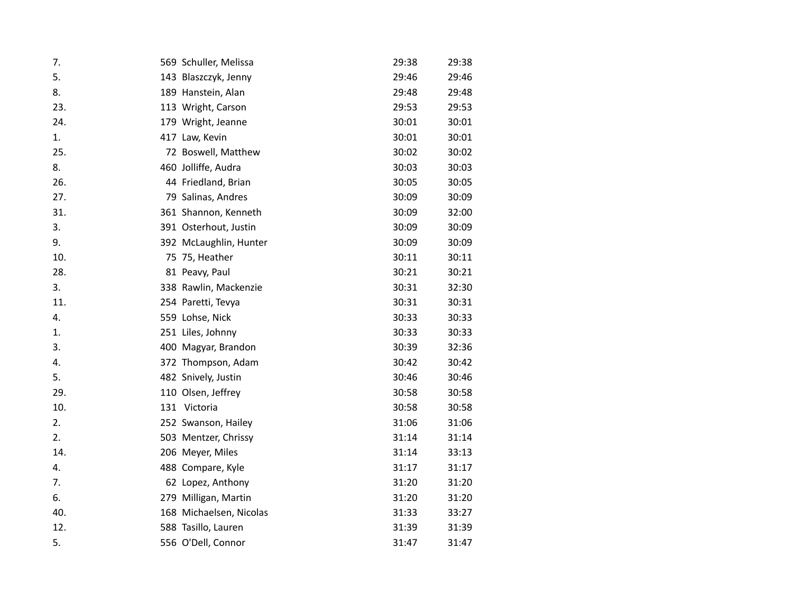| 7.  | 569 Schuller, Melissa   | 29:38 | 29:38 |
|-----|-------------------------|-------|-------|
| 5.  | 143 Blaszczyk, Jenny    | 29:46 | 29:46 |
| 8.  | 189 Hanstein, Alan      | 29:48 | 29:48 |
| 23. | 113 Wright, Carson      | 29:53 | 29:53 |
| 24. | 179 Wright, Jeanne      | 30:01 | 30:01 |
| 1.  | 417 Law, Kevin          | 30:01 | 30:01 |
| 25. | 72 Boswell, Matthew     | 30:02 | 30:02 |
| 8.  | 460 Jolliffe, Audra     | 30:03 | 30:03 |
| 26. | 44 Friedland, Brian     | 30:05 | 30:05 |
| 27. | 79 Salinas, Andres      | 30:09 | 30:09 |
| 31. | 361 Shannon, Kenneth    | 30:09 | 32:00 |
| 3.  | 391 Osterhout, Justin   | 30:09 | 30:09 |
| 9.  | 392 McLaughlin, Hunter  | 30:09 | 30:09 |
| 10. | 75 75, Heather          | 30:11 | 30:11 |
| 28. | 81 Peavy, Paul          | 30:21 | 30:21 |
| 3.  | 338 Rawlin, Mackenzie   | 30:31 | 32:30 |
| 11. | 254 Paretti, Tevya      | 30:31 | 30:31 |
| 4.  | 559 Lohse, Nick         | 30:33 | 30:33 |
| 1.  | 251 Liles, Johnny       | 30:33 | 30:33 |
| 3.  | 400 Magyar, Brandon     | 30:39 | 32:36 |
| 4.  | 372 Thompson, Adam      | 30:42 | 30:42 |
| 5.  | 482 Snively, Justin     | 30:46 | 30:46 |
| 29. | 110 Olsen, Jeffrey      | 30:58 | 30:58 |
| 10. | 131 Victoria            | 30:58 | 30:58 |
| 2.  | 252 Swanson, Hailey     | 31:06 | 31:06 |
| 2.  | 503 Mentzer, Chrissy    | 31:14 | 31:14 |
| 14. | 206 Meyer, Miles        | 31:14 | 33:13 |
| 4.  | 488 Compare, Kyle       | 31:17 | 31:17 |
| 7.  | 62 Lopez, Anthony       | 31:20 | 31:20 |
| 6.  | 279 Milligan, Martin    | 31:20 | 31:20 |
| 40. | 168 Michaelsen, Nicolas | 31:33 | 33:27 |
| 12. | 588 Tasillo, Lauren     | 31:39 | 31:39 |
| 5.  | 556 O'Dell, Connor      | 31:47 | 31:47 |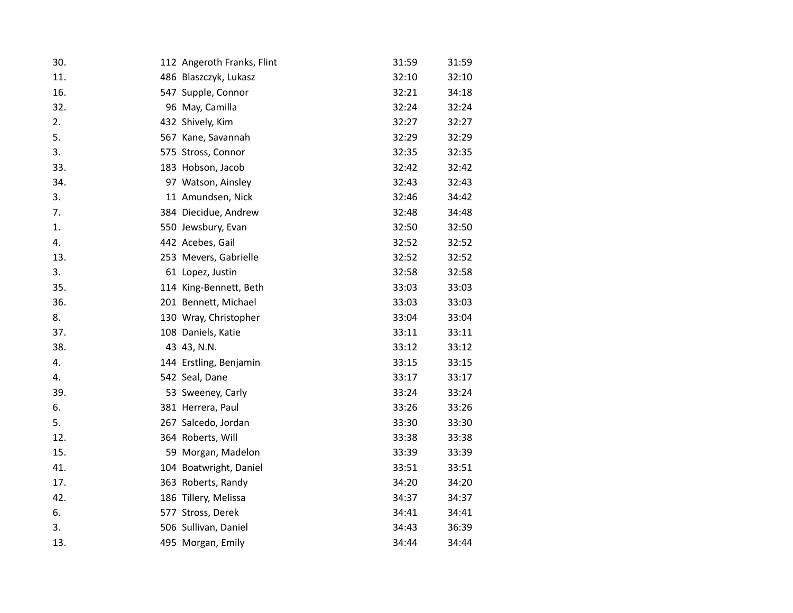| 30. | 112 Angeroth Franks, Flint | 31:59 | 31:59 |
|-----|----------------------------|-------|-------|
| 11. | 486 Blaszczyk, Lukasz      | 32:10 | 32:10 |
| 16. | 547 Supple, Connor         | 32:21 | 34:18 |
| 32. | 96 May, Camilla            | 32:24 | 32:24 |
| 2.  | 432 Shively, Kim           | 32:27 | 32:27 |
| 5.  | 567 Kane, Savannah         | 32:29 | 32:29 |
| 3.  | 575 Stross, Connor         | 32:35 | 32:35 |
| 33. | 183 Hobson, Jacob          | 32:42 | 32:42 |
| 34. | 97 Watson, Ainsley         | 32:43 | 32:43 |
| 3.  | 11 Amundsen, Nick          | 32:46 | 34:42 |
| 7.  | 384 Diecidue, Andrew       | 32:48 | 34:48 |
| 1.  | 550 Jewsbury, Evan         | 32:50 | 32:50 |
| 4.  | 442 Acebes, Gail           | 32:52 | 32:52 |
| 13. | 253 Mevers, Gabrielle      | 32:52 | 32:52 |
| 3.  | 61 Lopez, Justin           | 32:58 | 32:58 |
| 35. | 114 King-Bennett, Beth     | 33:03 | 33:03 |
| 36. | 201 Bennett, Michael       | 33:03 | 33:03 |
| 8.  | 130 Wray, Christopher      | 33:04 | 33:04 |
| 37. | 108 Daniels, Katie         | 33:11 | 33:11 |
| 38. | 43 43, N.N.                | 33:12 | 33:12 |
| 4.  | 144 Erstling, Benjamin     | 33:15 | 33:15 |
| 4.  | 542 Seal, Dane             | 33:17 | 33:17 |
| 39. | 53 Sweeney, Carly          | 33:24 | 33:24 |
| 6.  | 381 Herrera, Paul          | 33:26 | 33:26 |
| 5.  | 267 Salcedo, Jordan        | 33:30 | 33:30 |
| 12. | 364 Roberts, Will          | 33:38 | 33:38 |
| 15. | 59 Morgan, Madelon         | 33:39 | 33:39 |
| 41. | 104 Boatwright, Daniel     | 33:51 | 33:51 |
| 17. | 363 Roberts, Randy         | 34:20 | 34:20 |
| 42. | 186 Tillery, Melissa       | 34:37 | 34:37 |
| 6.  | 577 Stross, Derek          | 34:41 | 34:41 |
| 3.  | 506 Sullivan, Daniel       | 34:43 | 36:39 |
| 13. | 495 Morgan, Emily          | 34:44 | 34:44 |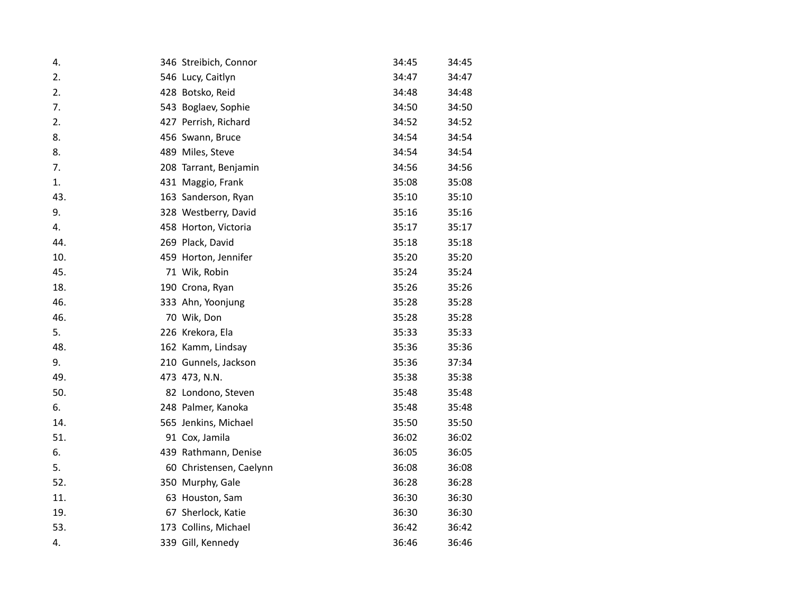| 4.  | 346 Streibich, Connor   | 34:45 | 34:45 |
|-----|-------------------------|-------|-------|
| 2.  | 546 Lucy, Caitlyn       | 34:47 | 34:47 |
| 2.  | 428 Botsko, Reid        | 34:48 | 34:48 |
| 7.  | 543 Boglaev, Sophie     | 34:50 | 34:50 |
| 2.  | 427 Perrish, Richard    | 34:52 | 34:52 |
| 8.  | 456 Swann, Bruce        | 34:54 | 34:54 |
| 8.  | 489 Miles, Steve        | 34:54 | 34:54 |
| 7.  | 208 Tarrant, Benjamin   | 34:56 | 34:56 |
| 1.  | 431 Maggio, Frank       | 35:08 | 35:08 |
| 43. | 163 Sanderson, Ryan     | 35:10 | 35:10 |
| 9.  | 328 Westberry, David    | 35:16 | 35:16 |
| 4.  | 458 Horton, Victoria    | 35:17 | 35:17 |
| 44. | 269 Plack, David        | 35:18 | 35:18 |
| 10. | 459 Horton, Jennifer    | 35:20 | 35:20 |
| 45. | 71 Wik, Robin           | 35:24 | 35:24 |
| 18. | 190 Crona, Ryan         | 35:26 | 35:26 |
| 46. | 333 Ahn, Yoonjung       | 35:28 | 35:28 |
| 46. | 70 Wik, Don             | 35:28 | 35:28 |
| 5.  | 226 Krekora, Ela        | 35:33 | 35:33 |
| 48. | 162 Kamm, Lindsay       | 35:36 | 35:36 |
| 9.  | 210 Gunnels, Jackson    | 35:36 | 37:34 |
| 49. | 473 473, N.N.           | 35:38 | 35:38 |
| 50. | 82 Londono, Steven      | 35:48 | 35:48 |
| 6.  | 248 Palmer, Kanoka      | 35:48 | 35:48 |
| 14. | 565 Jenkins, Michael    | 35:50 | 35:50 |
| 51. | 91 Cox, Jamila          | 36:02 | 36:02 |
| 6.  | 439 Rathmann, Denise    | 36:05 | 36:05 |
| 5.  | 60 Christensen, Caelynn | 36:08 | 36:08 |
| 52. | 350 Murphy, Gale        | 36:28 | 36:28 |
| 11. | 63 Houston, Sam         | 36:30 | 36:30 |
| 19. | 67 Sherlock, Katie      | 36:30 | 36:30 |
| 53. | 173 Collins, Michael    | 36:42 | 36:42 |
| 4.  | 339 Gill, Kennedy       | 36:46 | 36:46 |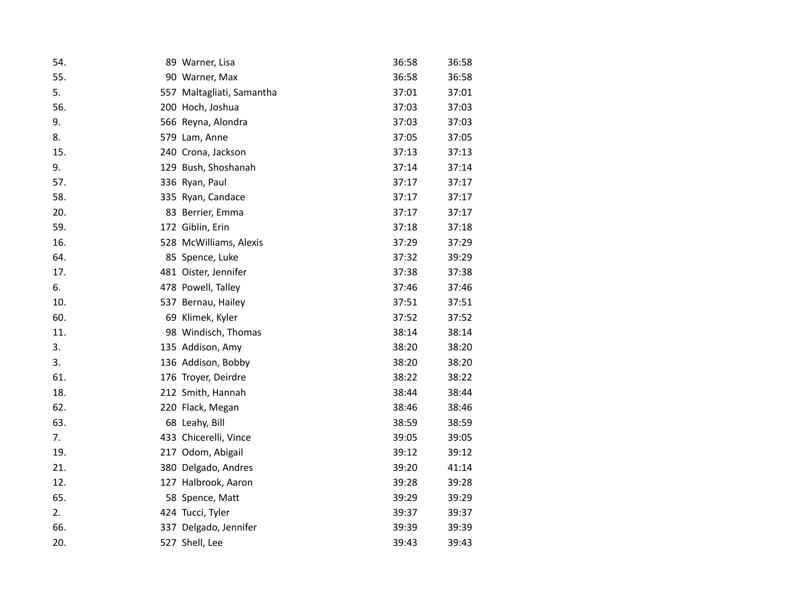| 54. | 89 Warner, Lisa           | 36:58 | 36:58 |
|-----|---------------------------|-------|-------|
| 55. | 90 Warner, Max            | 36:58 | 36:58 |
| 5.  | 557 Maltagliati, Samantha | 37:01 | 37:01 |
| 56. | 200 Hoch, Joshua          | 37:03 | 37:03 |
| 9.  | 566 Reyna, Alondra        | 37:03 | 37:03 |
| 8.  | 579 Lam, Anne             | 37:05 | 37:05 |
| 15. | 240 Crona, Jackson        | 37:13 | 37:13 |
| 9.  | 129 Bush, Shoshanah       | 37:14 | 37:14 |
| 57. | 336 Ryan, Paul            | 37:17 | 37:17 |
| 58. | 335 Ryan, Candace         | 37:17 | 37:17 |
| 20. | 83 Berrier, Emma          | 37:17 | 37:17 |
| 59. | 172 Giblin, Erin          | 37:18 | 37:18 |
| 16. | 528 McWilliams, Alexis    | 37:29 | 37:29 |
| 64. | 85 Spence, Luke           | 37:32 | 39:29 |
| 17. | 481 Oister, Jennifer      | 37:38 | 37:38 |
| 6.  | 478 Powell, Talley        | 37:46 | 37:46 |
| 10. | 537 Bernau, Hailey        | 37:51 | 37:51 |
| 60. | 69 Klimek, Kyler          | 37:52 | 37:52 |
| 11. | 98 Windisch, Thomas       | 38:14 | 38:14 |
| 3.  | 135 Addison, Amy          | 38:20 | 38:20 |
| 3.  | 136 Addison, Bobby        | 38:20 | 38:20 |
| 61. | 176 Troyer, Deirdre       | 38:22 | 38:22 |
| 18. | 212 Smith, Hannah         | 38:44 | 38:44 |
| 62. | 220 Flack, Megan          | 38:46 | 38:46 |
| 63. | 68 Leahy, Bill            | 38:59 | 38:59 |
| 7.  | 433 Chicerelli, Vince     | 39:05 | 39:05 |
| 19. | 217 Odom, Abigail         | 39:12 | 39:12 |
| 21. | 380 Delgado, Andres       | 39:20 | 41:14 |
| 12. | 127 Halbrook, Aaron       | 39:28 | 39:28 |
| 65. | 58 Spence, Matt           | 39:29 | 39:29 |
| 2.  | 424 Tucci, Tyler          | 39:37 | 39:37 |
| 66. | 337 Delgado, Jennifer     | 39:39 | 39:39 |
| 20. | 527 Shell, Lee            | 39:43 | 39:43 |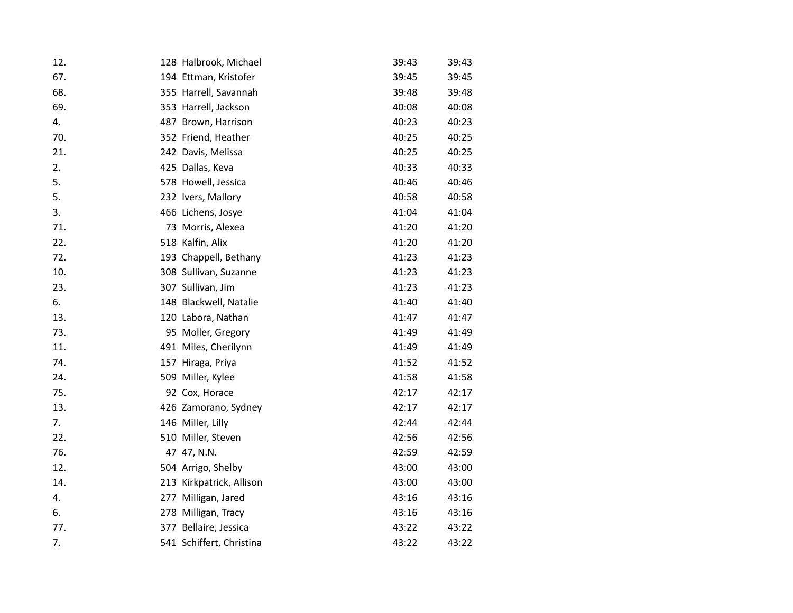| 12. | 128 Halbrook, Michael    | 39:43 | 39:43 |
|-----|--------------------------|-------|-------|
| 67. | 194 Ettman, Kristofer    | 39:45 | 39:45 |
| 68. | 355 Harrell, Savannah    | 39:48 | 39:48 |
| 69. | 353 Harrell, Jackson     | 40:08 | 40:08 |
| 4.  | 487 Brown, Harrison      | 40:23 | 40:23 |
| 70. | 352 Friend, Heather      | 40:25 | 40:25 |
| 21. | 242 Davis, Melissa       | 40:25 | 40:25 |
| 2.  | 425 Dallas, Keva         | 40:33 | 40:33 |
| 5.  | 578 Howell, Jessica      | 40:46 | 40:46 |
| 5.  | 232 Ivers, Mallory       | 40:58 | 40:58 |
| 3.  | 466 Lichens, Josye       | 41:04 | 41:04 |
| 71. | 73 Morris, Alexea        | 41:20 | 41:20 |
| 22. | 518 Kalfin, Alix         | 41:20 | 41:20 |
| 72. | 193 Chappell, Bethany    | 41:23 | 41:23 |
| 10. | 308 Sullivan, Suzanne    | 41:23 | 41:23 |
| 23. | 307 Sullivan, Jim        | 41:23 | 41:23 |
| 6.  | 148 Blackwell, Natalie   | 41:40 | 41:40 |
| 13. | 120 Labora, Nathan       | 41:47 | 41:47 |
| 73. | 95 Moller, Gregory       | 41:49 | 41:49 |
| 11. | 491 Miles, Cherilynn     | 41:49 | 41:49 |
| 74. | 157 Hiraga, Priya        | 41:52 | 41:52 |
| 24. | 509 Miller, Kylee        | 41:58 | 41:58 |
| 75. | 92 Cox, Horace           | 42:17 | 42:17 |
| 13. | 426 Zamorano, Sydney     | 42:17 | 42:17 |
| 7.  | 146 Miller, Lilly        | 42:44 | 42:44 |
| 22. | 510 Miller, Steven       | 42:56 | 42:56 |
| 76. | 47 47, N.N.              | 42:59 | 42:59 |
| 12. | 504 Arrigo, Shelby       | 43:00 | 43:00 |
| 14. | 213 Kirkpatrick, Allison | 43:00 | 43:00 |
| 4.  | 277 Milligan, Jared      | 43:16 | 43:16 |
| 6.  | 278 Milligan, Tracy      | 43:16 | 43:16 |
| 77. | 377 Bellaire, Jessica    | 43:22 | 43:22 |
| 7.  | 541 Schiffert, Christina | 43:22 | 43:22 |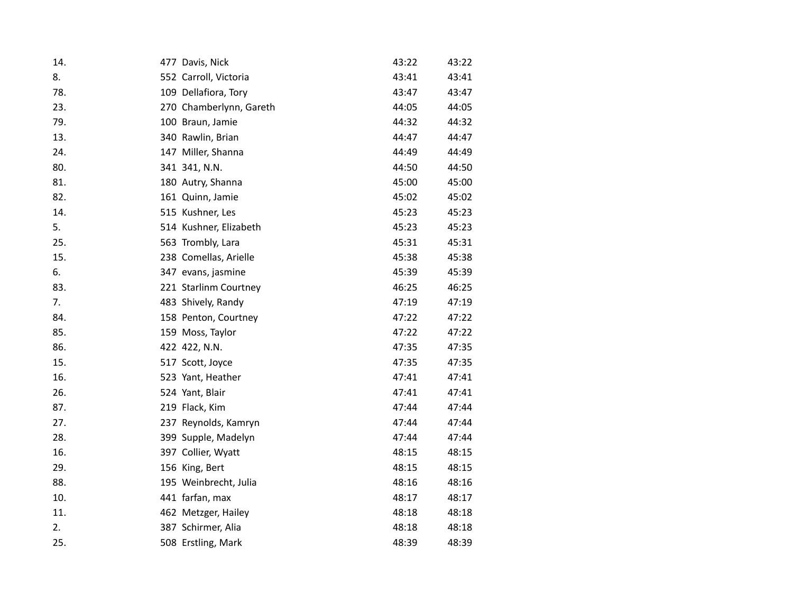| 14. | 477 Davis, Nick         | 43:22 | 43:22 |
|-----|-------------------------|-------|-------|
| 8.  | 552 Carroll, Victoria   | 43:41 | 43:41 |
| 78. | 109 Dellafiora, Tory    | 43:47 | 43:47 |
| 23. | 270 Chamberlynn, Gareth | 44:05 | 44:05 |
| 79. | 100 Braun, Jamie        | 44:32 | 44:32 |
| 13. | 340 Rawlin, Brian       | 44:47 | 44:47 |
| 24. | 147 Miller, Shanna      | 44:49 | 44:49 |
| 80. | 341 341, N.N.           | 44:50 | 44:50 |
| 81. | 180 Autry, Shanna       | 45:00 | 45:00 |
| 82. | 161 Quinn, Jamie        | 45:02 | 45:02 |
| 14. | 515 Kushner, Les        | 45:23 | 45:23 |
| 5.  | 514 Kushner, Elizabeth  | 45:23 | 45:23 |
| 25. | 563 Trombly, Lara       | 45:31 | 45:31 |
| 15. | 238 Comellas, Arielle   | 45:38 | 45:38 |
| 6.  | 347 evans, jasmine      | 45:39 | 45:39 |
| 83. | 221 Starlinm Courtney   | 46:25 | 46:25 |
| 7.  | 483 Shively, Randy      | 47:19 | 47:19 |
| 84. | 158 Penton, Courtney    | 47:22 | 47:22 |
| 85. | 159 Moss, Taylor        | 47:22 | 47:22 |
| 86. | 422 422, N.N.           | 47:35 | 47:35 |
| 15. | 517 Scott, Joyce        | 47:35 | 47:35 |
| 16. | 523 Yant, Heather       | 47:41 | 47:41 |
| 26. | 524 Yant, Blair         | 47:41 | 47:41 |
| 87. | 219 Flack, Kim          | 47:44 | 47:44 |
| 27. | 237 Reynolds, Kamryn    | 47:44 | 47:44 |
| 28. | 399 Supple, Madelyn     | 47:44 | 47:44 |
| 16. | 397 Collier, Wyatt      | 48:15 | 48:15 |
| 29. | 156 King, Bert          | 48:15 | 48:15 |
| 88. | 195 Weinbrecht, Julia   | 48:16 | 48:16 |
| 10. | 441 farfan, max         | 48:17 | 48:17 |
| 11. | 462 Metzger, Hailey     | 48:18 | 48:18 |
| 2.  | 387 Schirmer, Alia      | 48:18 | 48:18 |
| 25. | 508 Erstling, Mark      | 48:39 | 48:39 |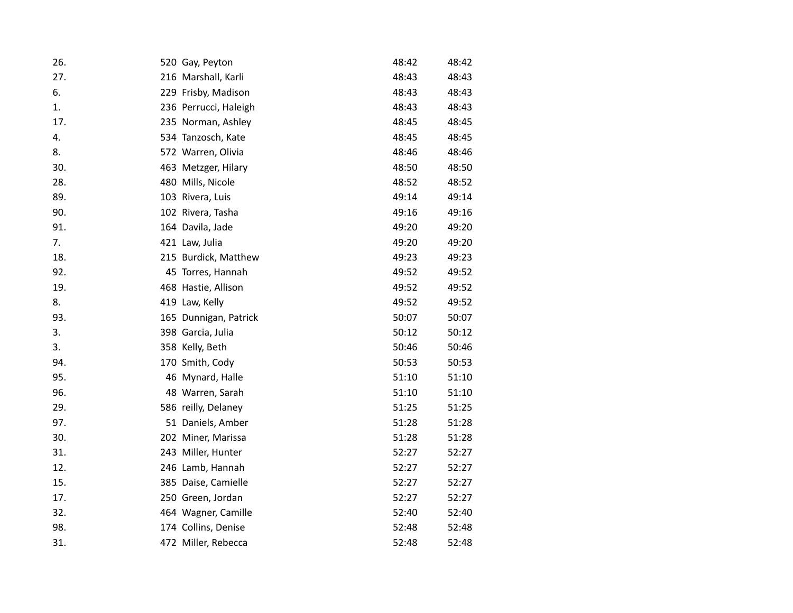| 26. | 520 Gay, Peyton       | 48:42 | 48:42 |
|-----|-----------------------|-------|-------|
| 27. | 216 Marshall, Karli   | 48:43 | 48:43 |
| 6.  | 229 Frisby, Madison   | 48:43 | 48:43 |
| 1.  | 236 Perrucci, Haleigh | 48:43 | 48:43 |
| 17. | 235 Norman, Ashley    | 48:45 | 48:45 |
| 4.  | 534 Tanzosch, Kate    | 48:45 | 48:45 |
| 8.  | 572 Warren, Olivia    | 48:46 | 48:46 |
| 30. | 463 Metzger, Hilary   | 48:50 | 48:50 |
| 28. | 480 Mills, Nicole     | 48:52 | 48:52 |
| 89. | 103 Rivera, Luis      | 49:14 | 49:14 |
| 90. | 102 Rivera, Tasha     | 49:16 | 49:16 |
| 91. | 164 Davila, Jade      | 49:20 | 49:20 |
| 7.  | 421 Law, Julia        | 49:20 | 49:20 |
| 18. | 215 Burdick, Matthew  | 49:23 | 49:23 |
| 92. | 45 Torres, Hannah     | 49:52 | 49:52 |
| 19. | 468 Hastie, Allison   | 49:52 | 49:52 |
| 8.  | 419 Law, Kelly        | 49:52 | 49:52 |
| 93. | 165 Dunnigan, Patrick | 50:07 | 50:07 |
| 3.  | 398 Garcia, Julia     | 50:12 | 50:12 |
| 3.  | 358 Kelly, Beth       | 50:46 | 50:46 |
| 94. | 170 Smith, Cody       | 50:53 | 50:53 |
| 95. | 46 Mynard, Halle      | 51:10 | 51:10 |
| 96. | 48 Warren, Sarah      | 51:10 | 51:10 |
| 29. | 586 reilly, Delaney   | 51:25 | 51:25 |
| 97. | 51 Daniels, Amber     | 51:28 | 51:28 |
| 30. | 202 Miner, Marissa    | 51:28 | 51:28 |
| 31. | 243 Miller, Hunter    | 52:27 | 52:27 |
| 12. | 246 Lamb, Hannah      | 52:27 | 52:27 |
| 15. | 385 Daise, Camielle   | 52:27 | 52:27 |
| 17. | 250 Green, Jordan     | 52:27 | 52:27 |
| 32. | 464 Wagner, Camille   | 52:40 | 52:40 |
| 98. | 174 Collins, Denise   | 52:48 | 52:48 |
| 31. | 472 Miller, Rebecca   | 52:48 | 52:48 |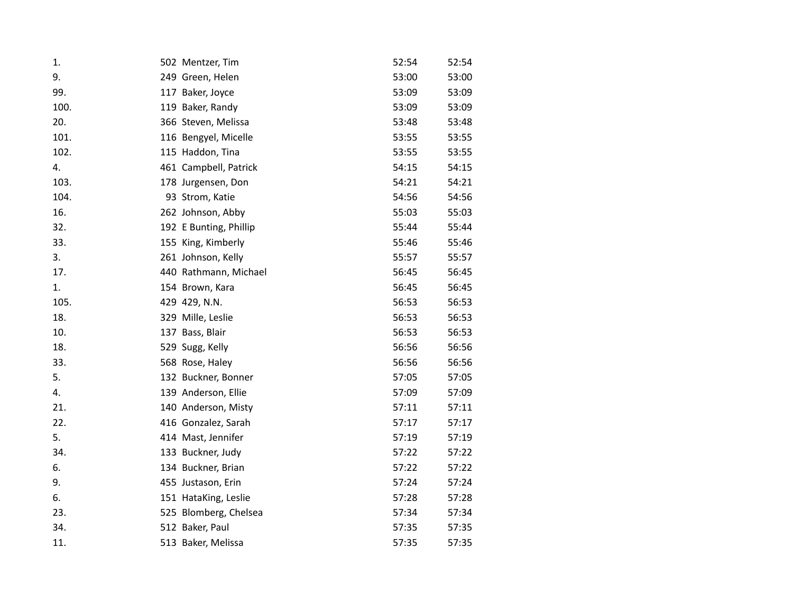| 1.   | 502 Mentzer, Tim       | 52:54 | 52:54 |
|------|------------------------|-------|-------|
| 9.   | 249 Green, Helen       | 53:00 | 53:00 |
| 99.  | 117 Baker, Joyce       | 53:09 | 53:09 |
| 100. | 119 Baker, Randy       | 53:09 | 53:09 |
| 20.  | 366 Steven, Melissa    | 53:48 | 53:48 |
| 101. | 116 Bengyel, Micelle   | 53:55 | 53:55 |
| 102. | 115 Haddon, Tina       | 53:55 | 53:55 |
| 4.   | 461 Campbell, Patrick  | 54:15 | 54:15 |
| 103. | 178 Jurgensen, Don     | 54:21 | 54:21 |
| 104. | 93 Strom, Katie        | 54:56 | 54:56 |
| 16.  | 262 Johnson, Abby      | 55:03 | 55:03 |
| 32.  | 192 E Bunting, Phillip | 55:44 | 55:44 |
| 33.  | 155 King, Kimberly     | 55:46 | 55:46 |
| 3.   | 261 Johnson, Kelly     | 55:57 | 55:57 |
| 17.  | 440 Rathmann, Michael  | 56:45 | 56:45 |
| 1.   | 154 Brown, Kara        | 56:45 | 56:45 |
| 105. | 429 429, N.N.          | 56:53 | 56:53 |
| 18.  | 329 Mille, Leslie      | 56:53 | 56:53 |
| 10.  | 137 Bass, Blair        | 56:53 | 56:53 |
| 18.  | 529 Sugg, Kelly        | 56:56 | 56:56 |
| 33.  | 568 Rose, Haley        | 56:56 | 56:56 |
| 5.   | 132 Buckner, Bonner    | 57:05 | 57:05 |
| 4.   | 139 Anderson, Ellie    | 57:09 | 57:09 |
| 21.  | 140 Anderson, Misty    | 57:11 | 57:11 |
| 22.  | 416 Gonzalez, Sarah    | 57:17 | 57:17 |
| 5.   | 414 Mast, Jennifer     | 57:19 | 57:19 |
| 34.  | 133 Buckner, Judy      | 57:22 | 57:22 |
| 6.   | 134 Buckner, Brian     | 57:22 | 57:22 |
| 9.   | 455 Justason, Erin     | 57:24 | 57:24 |
| 6.   | 151 HataKing, Leslie   | 57:28 | 57:28 |
| 23.  | 525 Blomberg, Chelsea  | 57:34 | 57:34 |
| 34.  | 512 Baker, Paul        | 57:35 | 57:35 |
| 11.  | 513 Baker, Melissa     | 57:35 | 57:35 |